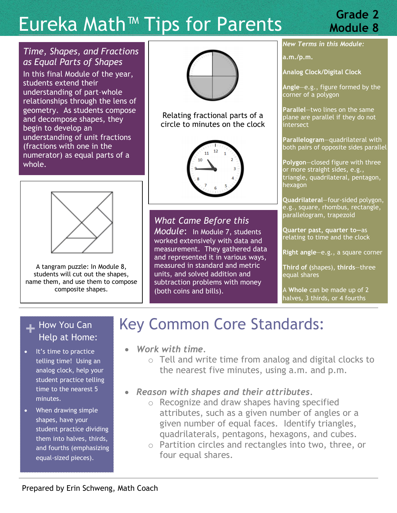# Eureka Math™ Tips for Parents **Grade 2**

# **Module 8**

### *Time, Shapes, and Fractions as Equal Parts of Shapes*

In this final Module of the year, students extend their understanding of part–whole relationships through the lens of geometry. As students compose and decompose shapes, they begin to develop an understanding of unit fractions (fractions with one in the numerator) as equal parts of a whole.



Relating fractional parts of a circle to minutes on the clock



*What Came Before this Module*: In Module 7, students worked extensively with data and measurement. They gathered data and represented it in various ways, measured in standard and metric units, and solved addition and subtraction problems with money (both coins and bills).

*New Terms in this Module:*

**a.m./p.m.** 

**Analog Clock/Digital Clock**

**Angle**—e.g., figure formed by the corner of a polygon

**Parallel**—two lines on the same plane are parallel if they do not intersect

**Parallelogram**—quadrilateral with both pairs of opposite sides parallel

**Polygon**—closed figure with three or more straight sides, e.g., triangle, quadrilateral, pentagon, hexagon

**Quadrilateral**—four-sided polygon, e.g., square, rhombus, rectangle, parallelogram, trapezoid

**Quarter past, quarter to—**as relating to time and the clock

**Right angle**—e.g., a square corner

**Third of (**shapes), **thirds**—three equal shares

A **Whole** can be made up of 2 halves, 3 thirds, or 4 fourths

#### A tangram puzzle: In Module 8, students will cut out the shapes, name them, and use them to compose composite shapes.

### **+** How You Can Help at Home:

- It's time to practice telling time! Using an analog clock, help your student practice telling time to the nearest 5 minutes.
- When drawing simple shapes, have your student practice dividing them into halves, thirds, and fourths (emphasizing equal-sized pieces).

# Key Common Core Standards:

- *Work with time.*
	- o Tell and write time from analog and digital clocks to the nearest five minutes, using a.m. and p.m.
- *Reason with shapes and their attributes.*
	- o Recognize and draw shapes having specified attributes, such as a given number of angles or a given number of equal faces. Identify triangles, quadrilaterals, pentagons, hexagons, and cubes.
	- o Partition circles and rectangles into two, three, or four equal shares.